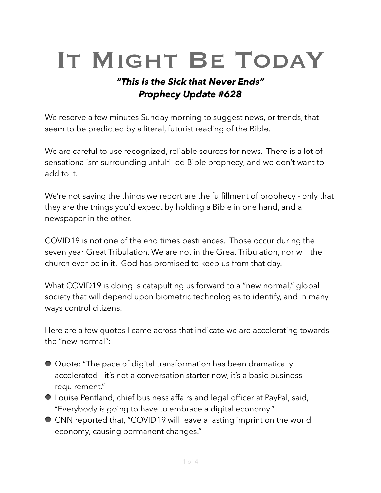# IT MIGHT BE TODAY

## *"This Is the Sick that Never Ends" Prophecy Update #628*

We reserve a few minutes Sunday morning to suggest news, or trends, that seem to be predicted by a literal, futurist reading of the Bible.

We are careful to use recognized, reliable sources for news. There is a lot of sensationalism surrounding unfulfilled Bible prophecy, and we don't want to add to it.

We're not saying the things we report are the fulfillment of prophecy - only that they are the things you'd expect by holding a Bible in one hand, and a newspaper in the other.

COVID19 is not one of the end times pestilences. Those occur during the seven year Great Tribulation. We are not in the Great Tribulation, nor will the church ever be in it. God has promised to keep us from that day.

What COVID19 is doing is catapulting us forward to a "new normal," global society that will depend upon biometric technologies to identify, and in many ways control citizens.

Here are a few quotes I came across that indicate we are accelerating towards the "new normal":

- Quote: "The pace of digital transformation has been dramatically accelerated - it's not a conversation starter now, it's a basic business requirement."
- Louise Pentland, chief business affairs and legal officer at PayPal, said, "Everybody is going to have to embrace a digital economy."
- CNN reported that, "COVID19 will leave a lasting imprint on the world economy, causing permanent changes."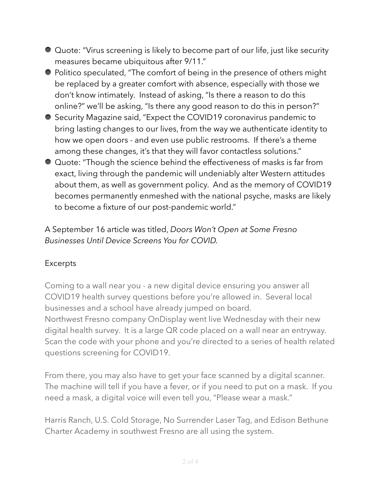- Quote: "Virus screening is likely to become part of our life, just like security measures became ubiquitous after 9/11."
- Politico speculated, "The comfort of being in the presence of others might be replaced by a greater comfort with absence, especially with those we don't know intimately. Instead of asking, "Is there a reason to do this online?" we'll be asking, "Is there any good reason to do this in person?"
- Security Magazine said, "Expect the COVID19 coronavirus pandemic to bring lasting changes to our lives, from the way we authenticate identity to how we open doors - and even use public restrooms. If there's a theme among these changes, it's that they will favor contactless solutions."
- Quote: "Though the science behind the effectiveness of masks is far from exact, living through the pandemic will undeniably alter Western attitudes about them, as well as government policy. And as the memory of COVID19 becomes permanently enmeshed with the national psyche, masks are likely to become a fixture of our post-pandemic world."

A September 16 article was titled, *Doors Won't Open at Some Fresno Businesses Until Device Screens You for COVID.* 

#### Excerpts

Coming to a wall near you - a new digital device ensuring you answer all COVID19 health survey questions before you're allowed in. Several local businesses and a school have already jumped on board. Northwest Fresno company OnDisplay went live Wednesday with their new digital health survey. It is a large QR code placed on a wall near an entryway. Scan the code with your phone and you're directed to a series of health related questions screening for COVID19.

From there, you may also have to get your face scanned by a digital scanner. The machine will tell if you have a fever, or if you need to put on a mask. If you need a mask, a digital voice will even tell you, "Please wear a mask."

Harris Ranch, U.S. Cold Storage, No Surrender Laser Tag, and Edison Bethune Charter Academy in southwest Fresno are all using the system.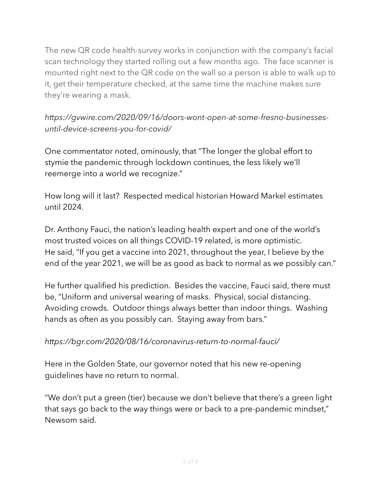The new QR code health-survey works in conjunction with the company's facial scan technology they started rolling out a few months ago. The face scanner is mounted right next to the QR code on the wall so a person is able to walk up to it, get their temperature checked, at the same time the machine makes sure they're wearing a mask.

### *https://gvwire.com/2020/09/16/doors-wont-open-at-some-fresno-businessesuntil-device-screens-you-for-covid/*

One commentator noted, ominously, that "The longer the global effort to stymie the pandemic through lockdown continues, the less likely we'll reemerge into a world we recognize."

How long will it last? Respected medical historian Howard Markel estimates until 2024.

Dr. Anthony Fauci, the nation's leading health expert and one of the world's most trusted voices on all things COVID-19 related, is more optimistic. He said, "If you get a vaccine into 2021, throughout the year, I believe by the end of the year 2021, we will be as good as back to normal as we possibly can."

He further qualified his prediction. Besides the vaccine, Fauci said, there must be, "Uniform and universal wearing of masks. Physical, social distancing. Avoiding crowds. Outdoor things always better than indoor things. Washing hands as often as you possibly can. Staying away from bars."

#### *https://bgr.com/2020/08/16/coronavirus-return-to-normal-fauci/*

Here in the Golden State, our governor noted that his new re-opening guidelines have no return to normal.

"We don't put a green (tier) because we don't believe that there's a green light that says go back to the way things were or back to a pre-pandemic mindset," Newsom said.